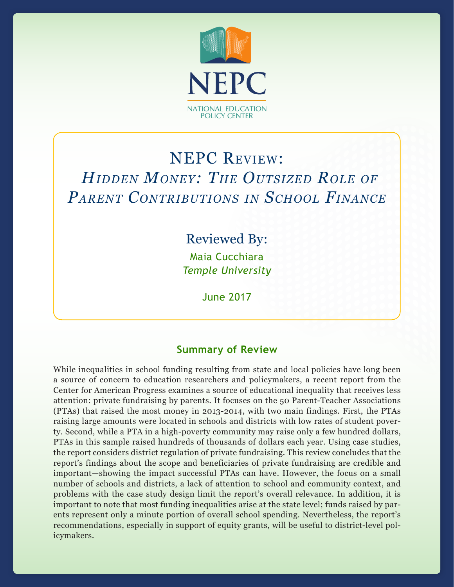

# NEPC Review:  *Hidden Money: The Outsized Role of Parent Contributions in School Finance*

Reviewed By: Maia Cucchiara *Temple University*

June 2017

## **Summary of Review**

While inequalities in school funding resulting from state and local policies have long been a source of concern to education researchers and policymakers, a recent report from the Center for American Progress examines a source of educational inequality that receives less attention: private fundraising by parents. It focuses on the 50 Parent-Teacher Associations (PTAs) that raised the most money in 2013-2014, with two main findings. First, the PTAs raising large amounts were located in schools and districts with low rates of student poverty. Second, while a PTA in a high-poverty community may raise only a few hundred dollars, PTAs in this sample raised hundreds of thousands of dollars each year. Using case studies, the report considers district regulation of private fundraising. This review concludes that the report's findings about the scope and beneficiaries of private fundraising are credible and important—showing the impact successful PTAs can have. However, the focus on a small number of schools and districts, a lack of attention to school and community context, and problems with the case study design limit the report's overall relevance. In addition, it is important to note that most funding inequalities arise at the state level; funds raised by parents represent only a minute portion of overall school spending. Nevertheless, the report's recommendations, especially in support of equity grants, will be useful to district-level policymakers.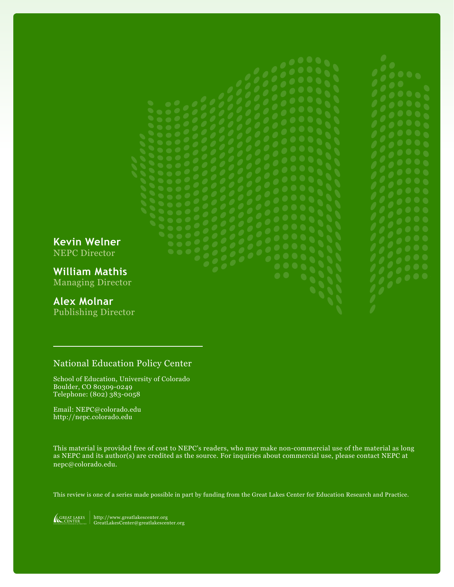**Kevin Welner** NEPC Director

**William Mathis** Managing Director

# **Alex Molnar**

Publishing Director

# National Education Policy Center

School of Education, University of Colorado Boulder, CO 80309-0249 Telephone: (802) 383-0058

Email: NEPC@colorado.edu http://nepc.colorado.edu

This material is provided free of cost to NEPC's readers, who may make non-commercial use of the material as long as NEPC and its author(s) are credited as the source. For inquiries about commercial use, please contact NEPC at nepc@colorado.edu.

This review is one of a series made possible in part by funding from the Great Lakes Center for Education Research and Practice.

http://www.greatlakescenter.org GreatLakesCenter@greatlakescenter.org **GREAT LAKES CENTER**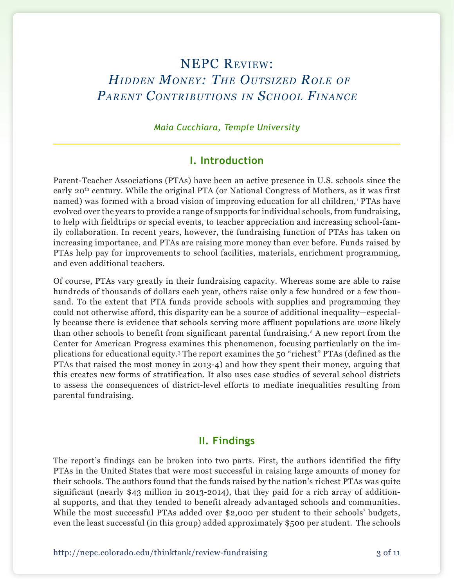# NEPC Review:  *Hidden Money: The Outsized Role of Parent Contributions in School Finance*

*Maia Cucchiara, Temple University*

## **I. Introduction**

Parent-Teacher Associations (PTAs) have been an active presence in U.S. schools since the early 20th century. While the original PTA (or National Congress of Mothers, as it was first named) was formed with a broad vision of improving education for all children,<sup>1</sup> PTAs have evolved over the years to provide a range of supports for individual schools, from fundraising, to help with fieldtrips or special events, to teacher appreciation and increasing school-family collaboration. In recent years, however, the fundraising function of PTAs has taken on increasing importance, and PTAs are raising more money than ever before. Funds raised by PTAs help pay for improvements to school facilities, materials, enrichment programming, and even additional teachers.

Of course, PTAs vary greatly in their fundraising capacity. Whereas some are able to raise hundreds of thousands of dollars each year, others raise only a few hundred or a few thousand. To the extent that PTA funds provide schools with supplies and programming they could not otherwise afford, this disparity can be a source of additional inequality—especially because there is evidence that schools serving more affluent populations are *more* likely than other schools to benefit from significant parental fundraising.<sup>2</sup> A new report from the Center for American Progress examines this phenomenon, focusing particularly on the implications for educational equity.3 The report examines the 50 "richest" PTAs (defined as the PTAs that raised the most money in 2013-4) and how they spent their money, arguing that this creates new forms of stratification. It also uses case studies of several school districts to assess the consequences of district-level efforts to mediate inequalities resulting from parental fundraising.

#### **II. Findings**

The report's findings can be broken into two parts. First, the authors identified the fifty PTAs in the United States that were most successful in raising large amounts of money for their schools. The authors found that the funds raised by the nation's richest PTAs was quite significant (nearly \$43 million in 2013-2014), that they paid for a rich array of additional supports, and that they tended to benefit already advantaged schools and communities. While the most successful PTAs added over \$2,000 per student to their schools' budgets, even the least successful (in this group) added approximately \$500 per student. The schools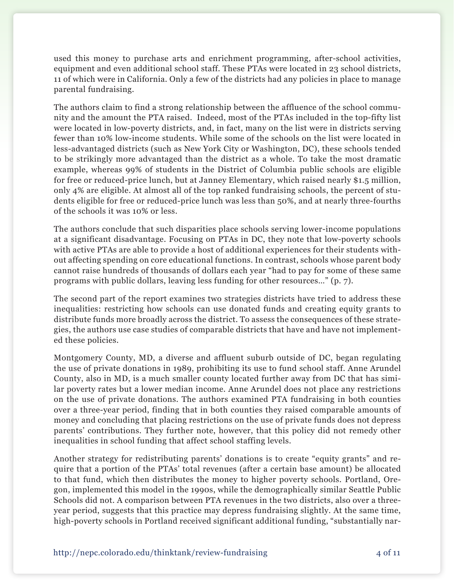used this money to purchase arts and enrichment programming, after-school activities, equipment and even additional school staff. These PTAs were located in 23 school districts, 11 of which were in California. Only a few of the districts had any policies in place to manage parental fundraising.

The authors claim to find a strong relationship between the affluence of the school community and the amount the PTA raised. Indeed, most of the PTAs included in the top-fifty list were located in low-poverty districts, and, in fact, many on the list were in districts serving fewer than 10% low-income students. While some of the schools on the list were located in less-advantaged districts (such as New York City or Washington, DC), these schools tended to be strikingly more advantaged than the district as a whole. To take the most dramatic example, whereas 99% of students in the District of Columbia public schools are eligible for free or reduced-price lunch, but at Janney Elementary, which raised nearly \$1.5 million, only 4% are eligible. At almost all of the top ranked fundraising schools, the percent of students eligible for free or reduced-price lunch was less than 50%, and at nearly three-fourths of the schools it was 10% or less.

The authors conclude that such disparities place schools serving lower-income populations at a significant disadvantage. Focusing on PTAs in DC, they note that low-poverty schools with active PTAs are able to provide a host of additional experiences for their students without affecting spending on core educational functions. In contrast, schools whose parent body cannot raise hundreds of thousands of dollars each year "had to pay for some of these same programs with public dollars, leaving less funding for other resources…" (p. 7).

The second part of the report examines two strategies districts have tried to address these inequalities: restricting how schools can use donated funds and creating equity grants to distribute funds more broadly across the district. To assess the consequences of these strategies, the authors use case studies of comparable districts that have and have not implemented these policies.

Montgomery County, MD, a diverse and affluent suburb outside of DC, began regulating the use of private donations in 1989, prohibiting its use to fund school staff. Anne Arundel County, also in MD, is a much smaller county located further away from DC that has similar poverty rates but a lower median income. Anne Arundel does not place any restrictions on the use of private donations. The authors examined PTA fundraising in both counties over a three-year period, finding that in both counties they raised comparable amounts of money and concluding that placing restrictions on the use of private funds does not depress parents' contributions. They further note, however, that this policy did not remedy other inequalities in school funding that affect school staffing levels.

Another strategy for redistributing parents' donations is to create "equity grants" and require that a portion of the PTAs' total revenues (after a certain base amount) be allocated to that fund, which then distributes the money to higher poverty schools. Portland, Oregon, implemented this model in the 1990s, while the demographically similar Seattle Public Schools did not. A comparison between PTA revenues in the two districts, also over a threeyear period, suggests that this practice may depress fundraising slightly. At the same time, high-poverty schools in Portland received significant additional funding, "substantially nar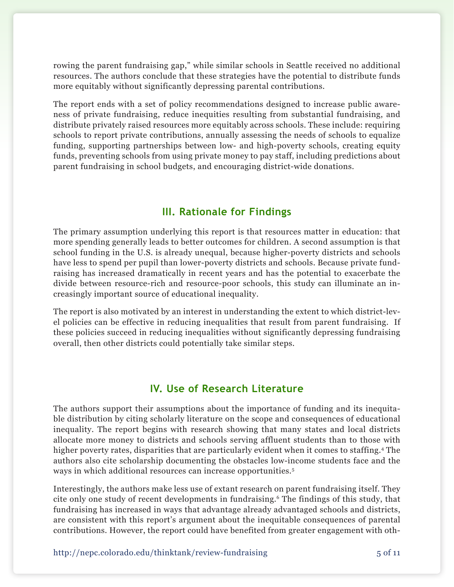rowing the parent fundraising gap," while similar schools in Seattle received no additional resources. The authors conclude that these strategies have the potential to distribute funds more equitably without significantly depressing parental contributions.

The report ends with a set of policy recommendations designed to increase public awareness of private fundraising, reduce inequities resulting from substantial fundraising, and distribute privately raised resources more equitably across schools. These include: requiring schools to report private contributions, annually assessing the needs of schools to equalize funding, supporting partnerships between low- and high-poverty schools, creating equity funds, preventing schools from using private money to pay staff, including predictions about parent fundraising in school budgets, and encouraging district-wide donations.

# **III. Rationale for Findings**

The primary assumption underlying this report is that resources matter in education: that more spending generally leads to better outcomes for children. A second assumption is that school funding in the U.S. is already unequal, because higher-poverty districts and schools have less to spend per pupil than lower-poverty districts and schools. Because private fundraising has increased dramatically in recent years and has the potential to exacerbate the divide between resource-rich and resource-poor schools, this study can illuminate an increasingly important source of educational inequality.

The report is also motivated by an interest in understanding the extent to which district-level policies can be effective in reducing inequalities that result from parent fundraising. If these policies succeed in reducing inequalities without significantly depressing fundraising overall, then other districts could potentially take similar steps.

# **IV. Use of Research Literature**

The authors support their assumptions about the importance of funding and its inequitable distribution by citing scholarly literature on the scope and consequences of educational inequality. The report begins with research showing that many states and local districts allocate more money to districts and schools serving affluent students than to those with higher poverty rates, disparities that are particularly evident when it comes to staffing.4 The authors also cite scholarship documenting the obstacles low-income students face and the ways in which additional resources can increase opportunities.5

Interestingly, the authors make less use of extant research on parent fundraising itself. They cite only one study of recent developments in fundraising.6 The findings of this study, that fundraising has increased in ways that advantage already advantaged schools and districts, are consistent with this report's argument about the inequitable consequences of parental contributions. However, the report could have benefited from greater engagement with oth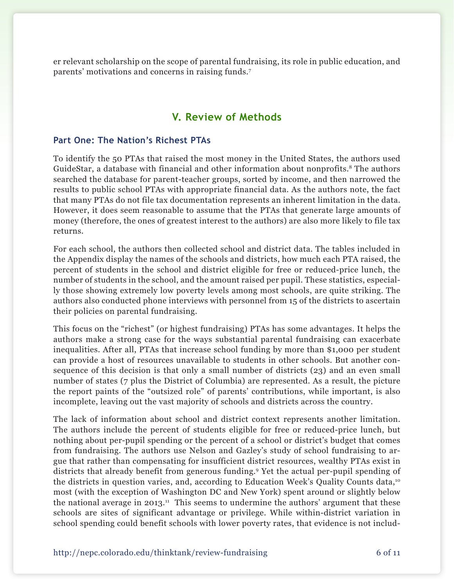er relevant scholarship on the scope of parental fundraising, its role in public education, and parents' motivations and concerns in raising funds.7

## **V. Review of Methods**

#### **Part One: The Nation's Richest PTAs**

To identify the 50 PTAs that raised the most money in the United States, the authors used GuideStar, a database with financial and other information about nonprofits.<sup>8</sup> The authors searched the database for parent-teacher groups, sorted by income, and then narrowed the results to public school PTAs with appropriate financial data. As the authors note, the fact that many PTAs do not file tax documentation represents an inherent limitation in the data. However, it does seem reasonable to assume that the PTAs that generate large amounts of money (therefore, the ones of greatest interest to the authors) are also more likely to file tax returns.

For each school, the authors then collected school and district data. The tables included in the Appendix display the names of the schools and districts, how much each PTA raised, the percent of students in the school and district eligible for free or reduced-price lunch, the number of students in the school, and the amount raised per pupil. These statistics, especially those showing extremely low poverty levels among most schools, are quite striking. The authors also conducted phone interviews with personnel from 15 of the districts to ascertain their policies on parental fundraising.

This focus on the "richest" (or highest fundraising) PTAs has some advantages. It helps the authors make a strong case for the ways substantial parental fundraising can exacerbate inequalities. After all, PTAs that increase school funding by more than \$1,000 per student can provide a host of resources unavailable to students in other schools. But another consequence of this decision is that only a small number of districts (23) and an even small number of states (7 plus the District of Columbia) are represented. As a result, the picture the report paints of the "outsized role" of parents' contributions, while important, is also incomplete, leaving out the vast majority of schools and districts across the country.

The lack of information about school and district context represents another limitation. The authors include the percent of students eligible for free or reduced-price lunch, but nothing about per-pupil spending or the percent of a school or district's budget that comes from fundraising. The authors use Nelson and Gazley's study of school fundraising to argue that rather than compensating for insufficient district resources, wealthy PTAs exist in districts that already benefit from generous funding.9 Yet the actual per-pupil spending of the districts in question varies, and, according to Education Week's Quality Counts data,<sup>10</sup> most (with the exception of Washington DC and New York) spent around or slightly below the national average in 2013.<sup>11</sup> This seems to undermine the authors' argument that these schools are sites of significant advantage or privilege. While within-district variation in school spending could benefit schools with lower poverty rates, that evidence is not includ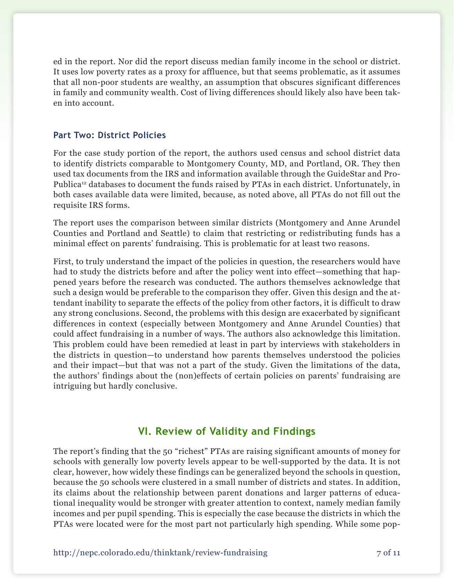ed in the report. Nor did the report discuss median family income in the school or district. It uses low poverty rates as a proxy for affluence, but that seems problematic, as it assumes that all non-poor students are wealthy, an assumption that obscures significant differences in family and community wealth. Cost of living differences should likely also have been taken into account.

#### **Part Two: District Policies**

For the case study portion of the report, the authors used census and school district data to identify districts comparable to Montgomery County, MD, and Portland, OR. They then used tax documents from the IRS and information available through the GuideStar and Pro-Publica<sup>12</sup> databases to document the funds raised by PTAs in each district. Unfortunately, in both cases available data were limited, because, as noted above, all PTAs do not fill out the requisite IRS forms.

The report uses the comparison between similar districts (Montgomery and Anne Arundel Counties and Portland and Seattle) to claim that restricting or redistributing funds has a minimal effect on parents' fundraising. This is problematic for at least two reasons.

First, to truly understand the impact of the policies in question, the researchers would have had to study the districts before and after the policy went into effect—something that happened years before the research was conducted. The authors themselves acknowledge that such a design would be preferable to the comparison they offer. Given this design and the attendant inability to separate the effects of the policy from other factors, it is difficult to draw any strong conclusions. Second, the problems with this design are exacerbated by significant differences in context (especially between Montgomery and Anne Arundel Counties) that could affect fundraising in a number of ways. The authors also acknowledge this limitation. This problem could have been remedied at least in part by interviews with stakeholders in the districts in question—to understand how parents themselves understood the policies and their impact—but that was not a part of the study. Given the limitations of the data, the authors' findings about the (non)effects of certain policies on parents' fundraising are intriguing but hardly conclusive.

### **VI. Review of Validity and Findings**

The report's finding that the 50 "richest" PTAs are raising significant amounts of money for schools with generally low poverty levels appear to be well-supported by the data. It is not clear, however, how widely these findings can be generalized beyond the schools in question, because the 50 schools were clustered in a small number of districts and states. In addition, its claims about the relationship between parent donations and larger patterns of educational inequality would be stronger with greater attention to context, namely median family incomes and per pupil spending. This is especially the case because the districts in which the PTAs were located were for the most part not particularly high spending. While some pop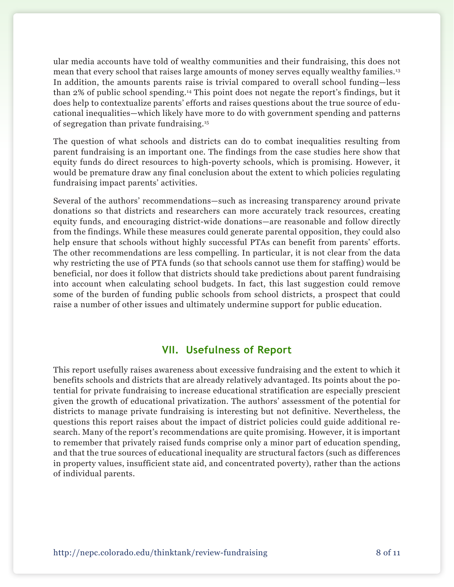ular media accounts have told of wealthy communities and their fundraising, this does not mean that every school that raises large amounts of money serves equally wealthy families.13 In addition, the amounts parents raise is trivial compared to overall school funding—less than 2% of public school spending.14 This point does not negate the report's findings, but it does help to contextualize parents' efforts and raises questions about the true source of educational inequalities—which likely have more to do with government spending and patterns of segregation than private fundraising.15

The question of what schools and districts can do to combat inequalities resulting from parent fundraising is an important one. The findings from the case studies here show that equity funds do direct resources to high-poverty schools, which is promising. However, it would be premature draw any final conclusion about the extent to which policies regulating fundraising impact parents' activities.

Several of the authors' recommendations—such as increasing transparency around private donations so that districts and researchers can more accurately track resources, creating equity funds, and encouraging district-wide donations—are reasonable and follow directly from the findings. While these measures could generate parental opposition, they could also help ensure that schools without highly successful PTAs can benefit from parents' efforts. The other recommendations are less compelling. In particular, it is not clear from the data why restricting the use of PTA funds (so that schools cannot use them for staffing) would be beneficial, nor does it follow that districts should take predictions about parent fundraising into account when calculating school budgets. In fact, this last suggestion could remove some of the burden of funding public schools from school districts, a prospect that could raise a number of other issues and ultimately undermine support for public education.

### **VII. Usefulness of Report**

This report usefully raises awareness about excessive fundraising and the extent to which it benefits schools and districts that are already relatively advantaged. Its points about the potential for private fundraising to increase educational stratification are especially prescient given the growth of educational privatization. The authors' assessment of the potential for districts to manage private fundraising is interesting but not definitive. Nevertheless, the questions this report raises about the impact of district policies could guide additional research. Many of the report's recommendations are quite promising. However, it is important to remember that privately raised funds comprise only a minor part of education spending, and that the true sources of educational inequality are structural factors (such as differences in property values, insufficient state aid, and concentrated poverty), rather than the actions of individual parents.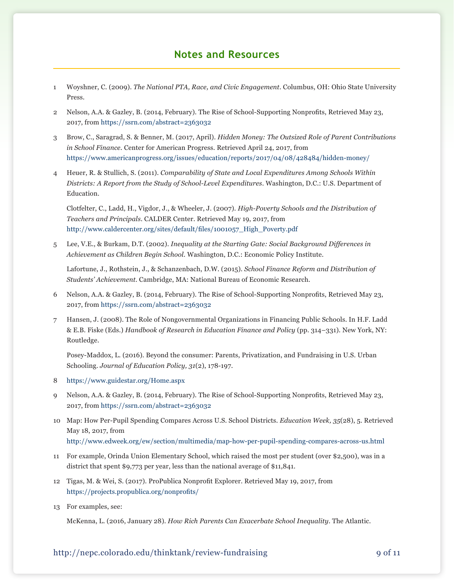### **Notes and Resources**

- 1 Woyshner, C. (2009). *The National PTA, Race, and Civic Engagement.* Columbus, OH: Ohio State University Press.
- 2 Nelson, A.A. & Gazley, B. (2014, February). The Rise of School-Supporting Nonprofits, Retrieved May 23, 2017, from<https://ssrn.com/abstract=2363032>
- 3 Brow, C., Saragrad, S. & Benner, M. (2017, April). *Hidden Money: The Outsized Role of Parent Contributions in School Finance.* Center for American Progress. Retrieved April 24, 2017, from <https://www.americanprogress.org/issues/education/reports/2017/04/08/428484/hidden-money/>
- 4 Heuer, R. & Stullich, S. (2011). *Comparability of State and Local Expenditures Among Schools Within Districts: A Report from the Study of School-Level Expenditures*. Washington, D.C.: U.S. Department of Education.

Clotfelter, C., Ladd, H., Vigdor, J., & Wheeler, J. (2007). *High-Poverty Schools and the Distribution of Teachers and Principals*. CALDER Center. Retrieved May 19, 2017, from [http://www.caldercenter.org/sites/default/files/1001057\\_High\\_Poverty.pdf](http://www.caldercenter.org/sites/default/files/1001057_High_Poverty.pdf)

5 Lee, V.E., & Burkam, D.T. (2002). *Inequality at the Starting Gate: Social Background Differences in Achievement as Children Begin School*. Washington, D.C.: Economic Policy Institute.

Lafortune, J., Rothstein, J., & Schanzenbach, D.W. (2015). *School Finance Reform and Distribution of Students' Achievement.* Cambridge, MA: National Bureau of Economic Research.

- 6 Nelson, A.A. & Gazley, B. (2014, February). The Rise of School-Supporting Nonprofits, Retrieved May 23, 2017, from<https://ssrn.com/abstract=2363032>
- 7 Hansen, J. (2008). The Role of Nongovernmental Organizations in Financing Public Schools. In H.F. Ladd & E.B. Fiske (Eds.) *Handbook of Research in Education Finance and Policy* (pp. 314–331). New York, NY: Routledge.

Posey-Maddox, L. (2016). Beyond the consumer: Parents, Privatization, and Fundraising in U.S. Urban Schooling. *Journal of Education Policy, 31*(2), 178-197.

- 8 <https://www.guidestar.org/Home.aspx>
- 9 Nelson, A.A. & Gazley, B. (2014, February). The Rise of School-Supporting Nonprofits, Retrieved May 23, 2017, from <https://ssrn.com/abstract=2363032>
- 10 Map: How Per-Pupil Spending Compares Across U.S. School Districts. *Education Week, 35*(28), 5. Retrieved May 18, 2017, from <http://www.edweek.org/ew/section/multimedia/map-how-per-pupil-spending-compares-across-us.html>
- 11 For example, Orinda Union Elementary School, which raised the most per student (over \$2,500), was in a district that spent \$9,773 per year, less than the national average of \$11,841.
- 12 Tigas, M. & Wei, S. (2017). ProPublica Nonprofit Explorer. Retrieved May 19, 2017, from <https://projects.propublica.org/nonprofits/>
- 13 For examples, see:

McKenna, L. (2016, January 28). *How Rich Parents Can Exacerbate School Inequality*. The Atlantic.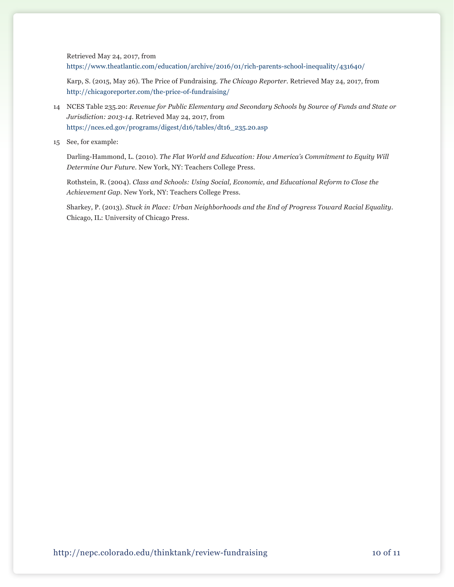Retrieved May 24, 2017, from

<https://www.theatlantic.com/education/archive/2016/01/rich-parents-school-inequality/431640/>

Karp, S. (2015, May 26). The Price of Fundraising. *The Chicago Reporter*. Retrieved May 24, 2017, from <http://chicagoreporter.com/the-price-of-fundraising/>

- 14 NCES Table 235.20: *Revenue for Public Elementary and Secondary Schools by Source of Funds and State or Jurisdiction: 2013-14*. Retrieved May 24, 2017, from [https://nces.ed.gov/programs/digest/d16/tables/dt16\\_235.20.asp](https://nces.ed.gov/programs/digest/d16/tables/dt16_235.20.asp)
- 15 See, for example:

Darling-Hammond, L. (2010). *The Flat World and Education: How America's Commitment to Equity Will Determine Our Future*. New York, NY: Teachers College Press.

Rothstein, R. (2004). *Class and Schools: Using Social, Economic, and Educational Reform to Close the Achievement Gap*. New York, NY: Teachers College Press.

Sharkey, P. (2013). *Stuck in Place: Urban Neighborhoods and the End of Progress Toward Racial Equality*. Chicago, IL: University of Chicago Press.